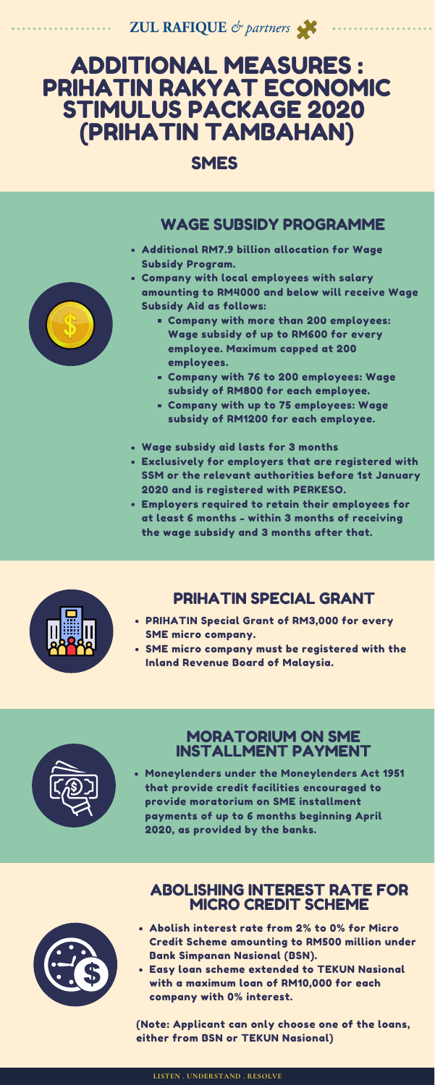**ZUL RAFIQUE** & partners

# ADDITIONAL MEASURES : PRIHATIN RAKYAT ECONOMIC STIMULUS PACKAGE 2020 (PRIHATIN TAMBAHAN)

SMES

- Abolish interest rate from 2% to 0% for Micro Credit Scheme amounting to RM500 million under Bank Simpanan Nasional (BSN).
- Easy loan scheme extended to TEKUN Nasional with a maximum loan of RM10,000 for each company with 0% interest.

(Note: Applicant can only choose one of the loans, either from BSN or TEKUN Nasional)

- Additional RM7.9 billion allocation for Wage Subsidy Program.
- Company with local employees with salary amounting to RM4000 and below will receive Wage Subsidy Aid as follows:
	- Company with more than 200 employees: Wage subsidy of up to RM600 for every employee. Maximum capped at 200 employees.
	- Company with 76 to 200 employees: Wage subsidy of RM800 for each employee.
	- Company with up to 75 employees: Wage subsidy of RM1200 for each employee.
- Wage subsidy aid lasts for 3 months
- Exclusively for employers that are registered with SSM or the relevant authorities before 1st January 2020 and is registered with PERKESO.
- Employers required to retain their employees for at least 6 months - within 3 months of receiving the wage subsidy and 3 months after that.



- PRIHATIN Special Grant of RM3,000 for every SME micro company.
- SME micro company must be registered with the



Inland Revenue Board of Malaysia.



Moneylenders under the Moneylenders Act 1951 that provide credit facilities encouraged to provide moratorium on SME installment payments of up to 6 months beginning April 2020, as provided by the banks.



## PRIHATIN SPECIAL GRANT

#### MORATORIUM ON SME INSTALLMENT PAYMENT

#### WAGE SUBSIDY PROGRAMME

#### ABOLISHING INTEREST RATE FOR MICRO CREDIT SCHEME